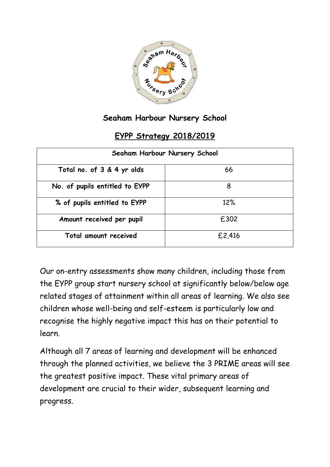

## **Seaham Harbour Nursery School**

## **EYPP Strategy 2018/2019**

| Seaham Harbour Nursery School  |        |  |  |  |
|--------------------------------|--------|--|--|--|
| Total no. of 3 & 4 yr olds     | 66     |  |  |  |
| No. of pupils entitled to EYPP | 8      |  |  |  |
| % of pupils entitled to EYPP   | 12%    |  |  |  |
| Amount received per pupil      | £302   |  |  |  |
| Total amount received          | £2,416 |  |  |  |

Our on-entry assessments show many children, including those from the EYPP group start nursery school at significantly below/below age related stages of attainment within all areas of learning. We also see children whose well-being and self-esteem is particularly low and recognise the highly negative impact this has on their potential to learn.

Although all 7 areas of learning and development will be enhanced through the planned activities, we believe the 3 PRIME areas will see the greatest positive impact. These vital primary areas of development are crucial to their wider, subsequent learning and progress.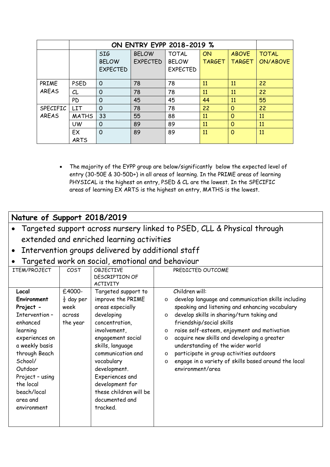|              |              | <b>SIG</b>      | <b>BELOW</b>    | <b>TOTAL</b>    | ON            | <b>ABOVE</b>  | <b>TOTAL</b>    |
|--------------|--------------|-----------------|-----------------|-----------------|---------------|---------------|-----------------|
|              |              | <b>BELOW</b>    | <b>EXPECTED</b> | <b>BELOW</b>    | <b>TARGET</b> | <b>TARGET</b> | <b>ON/ABOVE</b> |
|              |              | <b>EXPECTED</b> |                 | <b>EXPECTED</b> |               |               |                 |
|              |              |                 |                 |                 |               |               |                 |
| PRIME        | <b>PSED</b>  | O               | 78              | 78              | 11            | 11            | 22              |
| AREAS        | CL           | O               | 78              | 78              | 11            | 11            | 22              |
|              | <b>PD</b>    | 0               | 45              | 45              | 44            | 11            | 55              |
| SPECIFIC     | <b>LIT</b>   | 0               | 78              | 78              | 22            | $\Omega$      | 22              |
| <b>AREAS</b> | <b>MATHS</b> | 33              | 55              | 88              | 11            | $\Omega$      | 11              |
|              | UW           | $\Omega$        | 89              | 89              | 11            | $\Omega$      | 11              |
|              | EX           | $\Omega$        | 89              | 89              | 11            | $\Omega$      | 11              |
|              | <b>ARTS</b>  |                 |                 |                 |               |               |                 |

• The majority of the EYPP group are below/significantly below the expected level of entry (30-50E & 30-50D+) in all areas of learning. In the PRIME areas of learning PHYSICAL is the highest on entry, PSED & CL are the lowest. In the SPECIFIC areas of learning EX ARTS is the highest on entry, MATHS is the lowest.

## **Nature of Support 2018/2019**

- Targeted support across nursery linked to PSED, CLL & Physical through extended and enriched learning activities
- Intervention groups delivered by additional staff
- Targeted work on social, emotional and behaviour

| ITEM/PROJECT       | COST                  | OBJECTIVE              | PREDICTED OUTCOME                                               |
|--------------------|-----------------------|------------------------|-----------------------------------------------------------------|
|                    |                       | <b>DESCRIPTION OF</b>  |                                                                 |
|                    |                       | <b>ACTIVITY</b>        |                                                                 |
| Local              | £4000-                | Targeted support to    | Children will:                                                  |
| <b>Environment</b> | $\frac{1}{2}$ day per | improve the PRIME      | develop language and communication skills including<br>$\circ$  |
| Project -          | week                  | areas especially       | speaking and listening and enhancing vocabulary                 |
| Intervention-      | across                | developing             | develop skills in sharing/turn taking and<br>$\circ$            |
| enhanced           | the year              | concentration,         | friendship/social skills                                        |
| learning           |                       | involvement,           | raise self-esteem, enjoyment and motivation<br>$\circ$          |
| experiences on     |                       | engagement social      | acquire new skills and developing a greater<br>$\circ$          |
| a weekly basis     |                       | skills, language       | understanding of the wider world                                |
| through Beach      |                       | communication and      | participate in group activities outdoors<br>$\circ$             |
| School/            |                       | vocabulary             | engage in a variety of skills based around the local<br>$\circ$ |
| Outdoor            |                       | development.           | environment/area                                                |
| Project - using    |                       | Experiences and        |                                                                 |
| the local          |                       | development for        |                                                                 |
| beach/local        |                       | these children will be |                                                                 |
| area and           |                       | documented and         |                                                                 |
| environment        |                       | tracked.               |                                                                 |
|                    |                       |                        |                                                                 |
|                    |                       |                        |                                                                 |